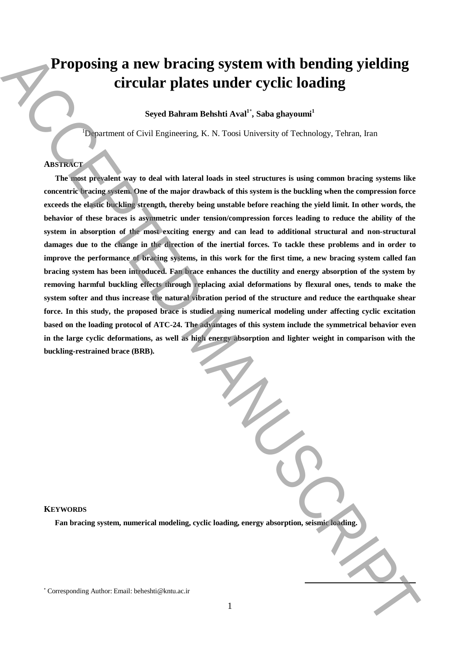# **Proposing a new bracing system with bending yielding circular plates under cyclic loading**

**Seyed Bahram Behshti Aval<sup>1</sup>**\* **, Saba ghayoumi<sup>1</sup>**

<sup>1</sup>Department of Civil Engineering, K. N. Toosi University of Technology, Tehran, Iran

## **ABSTRACT**

**The most prevalent way to deal with lateral loads in steel structures is using common bracing systems like concentric bracing system. One of the major drawback of this system is the buckling when the compression force exceeds the elastic buckling strength, thereby being unstable before reaching the yield limit. In other words, the behavior of these braces is asymmetric under tension/compression forces leading to reduce the ability of the system in absorption of the most exciting energy and can lead to additional structural and non-structural damages due to the change in the direction of the inertial forces. To tackle these problems and in order to improve the performance of bracing systems, in this work for the first time, a new bracing system called fan bracing system has been introduced. Fan brace enhances the ductility and energy absorption of the system by removing harmful buckling effects through replacing axial deformations by flexural ones, tends to make the system softer and thus increase the natural vibration period of the structure and reduce the earthquake shear force. In this study, the proposed brace is studied using numerical modeling under affecting cyclic excitation based on the loading protocol of ATC-24. The advantages of this system include the symmetrical behavior even**  in the large cyclic deformations, as well as high energy absorption and lighter weight in comparison with the **buckling-restrained brace (BRB). Proposing a new bracing system with bending yielding**<br>
circular plates under cyclic loading<br>
System Banam Behalt Ava<sup>n</sup>, Sale glasyonal<br>
Signament of Corresponding Author: Email: beheshti@kntu.ac.ir ACCEPTED MANUSCRIPTED

#### **KEYWORDS**

**Fan bracing system, numerical modeling, cyclic loading, energy absorption, seismic loading.**

**.**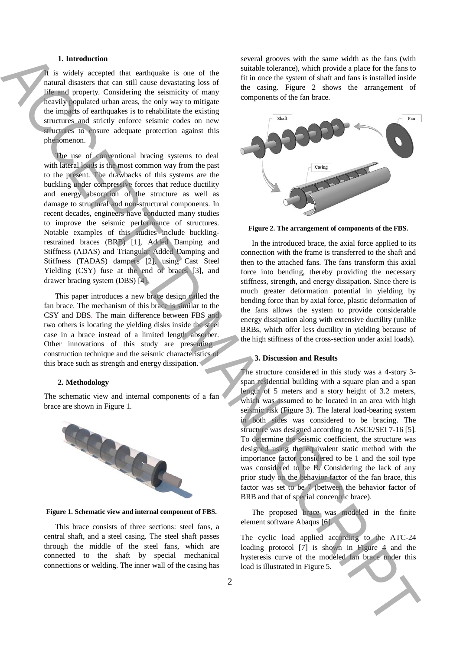#### **1. Introduction**

It is widely accepted that earthquake is one of the natural disasters that can still cause devastating loss of life and property. Considering the seismicity of many heavily populated urban areas, the only way to mitigate the impacts of earthquakes is to rehabilitate the existing structures and strictly enforce seismic codes on new structures to ensure adequate protection against this phenomenon.

The use of conventional bracing systems to deal with lateral loads is the most common way from the past to the present. The drawbacks of this systems are the buckling under compressive forces that reduce ductility and energy absorption of the structure as well as damage to structural and non-structural components. In recent decades, engineers have conducted many studies to improve the seismic performance of structures. Notable examples of this studies include bucklingrestrained braces (BRB) [1], Added Damping and Stiffness (ADAS) and Triangular Added Damping and Stiffness (TADAS) dampers [2], using Cast Steel Yielding (CSY) fuse at the end of braces [3], and drawer bracing system (DBS) [4]. Location and the state of the state of the state of the state of the state of the state of the state of the state of the state of the state of the state of the state of the state of the state of the state of the state of

This paper introduces a new brace design called the fan brace. The mechanism of this brace is similar to the CSY and DBS. The main difference between FBS and two others is locating the yielding disks inside the steel case in a brace instead of a limited length absorber. Other innovations of this study are presenting construction technique and the seismic characteristics of this brace such as strength and energy dissipation.

#### **2. Methodology**

The schematic view and internal components of a fan brace are shown in Figure 1.



**Figure 1. Schematic view and internal component of FBS.**

This brace consists of three sections: steel fans, a central shaft, and a steel casing. The steel shaft passes through the middle of the steel fans, which are connected to the shaft by special mechanical connections or welding. The inner wall of the casing has several grooves with the same width as the fans (with suitable tolerance), which provide a place for the fans to fit in once the system of shaft and fans is installed inside the casing. Figure 2 shows the arrangement of components of the fan brace.



**Figure 2. The arrangement of components of the FBS.**

In the introduced brace, the axial force applied to its connection with the frame is transferred to the shaft and then to the attached fans. The fans transform this axial force into bending, thereby providing the necessary stiffness, strength, and energy dissipation. Since there is much greater deformation potential in yielding by bending force than by axial force, plastic deformation of the fans allows the system to provide considerable energy dissipation along with extensive ductility (unlike BRBs, which offer less ductility in yielding because of the high stiffness of the cross-section under axial loads).

### **3. Discussion and Results**

The structure considered in this study was a 4-story 3 span residential building with a square plan and a span length of 5 meters and a story height of 3.2 meters, which was assumed to be located in an area with high seismic risk (Figure 3). The lateral load-bearing system in both sides was considered to be bracing. The structure was designed according to ASCE/SEI 7-16 [5]. To determine the seismic coefficient, the structure was designed using the equivalent static method with the importance factor considered to be 1 and the soil type was considered to be B. Considering the lack of any prior study on the behavior factor of the fan brace, this factor was set to be 7 (between the behavior factor of BRB and that of special concentric brace).

The proposed brace was modeled in the finite element software Abaqus [6].

The cyclic load applied according to the ATC-24 loading protocol [7] is shown in Figure 4 and the hysteresis curve of the modeled fan brace under this